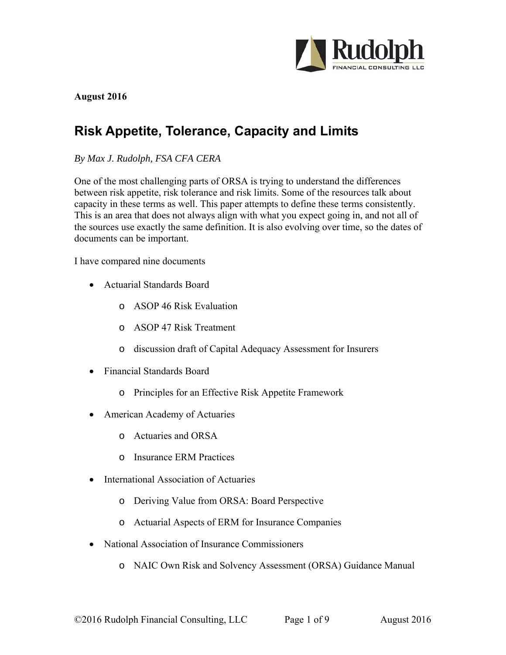

#### **August 2016**

# **Risk Appetite, Tolerance, Capacity and Limits**

*By Max J. Rudolph, FSA CFA CERA* 

One of the most challenging parts of ORSA is trying to understand the differences between risk appetite, risk tolerance and risk limits. Some of the resources talk about capacity in these terms as well. This paper attempts to define these terms consistently. This is an area that does not always align with what you expect going in, and not all of the sources use exactly the same definition. It is also evolving over time, so the dates of documents can be important.

I have compared nine documents

- Actuarial Standards Board
	- o ASOP 46 Risk Evaluation
	- o ASOP 47 Risk Treatment
	- o discussion draft of Capital Adequacy Assessment for Insurers
- Financial Standards Board
	- o Principles for an Effective Risk Appetite Framework
- American Academy of Actuaries
	- o Actuaries and ORSA
	- o Insurance ERM Practices
- International Association of Actuaries
	- o Deriving Value from ORSA: Board Perspective
	- o Actuarial Aspects of ERM for Insurance Companies
- National Association of Insurance Commissioners
	- o NAIC Own Risk and Solvency Assessment (ORSA) Guidance Manual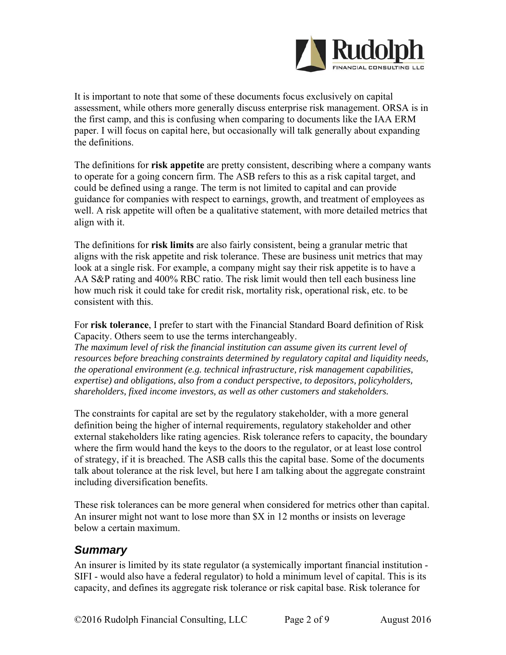

It is important to note that some of these documents focus exclusively on capital assessment, while others more generally discuss enterprise risk management. ORSA is in the first camp, and this is confusing when comparing to documents like the IAA ERM paper. I will focus on capital here, but occasionally will talk generally about expanding the definitions.

The definitions for **risk appetite** are pretty consistent, describing where a company wants to operate for a going concern firm. The ASB refers to this as a risk capital target, and could be defined using a range. The term is not limited to capital and can provide guidance for companies with respect to earnings, growth, and treatment of employees as well. A risk appetite will often be a qualitative statement, with more detailed metrics that align with it.

The definitions for **risk limits** are also fairly consistent, being a granular metric that aligns with the risk appetite and risk tolerance. These are business unit metrics that may look at a single risk. For example, a company might say their risk appetite is to have a AA S&P rating and 400% RBC ratio. The risk limit would then tell each business line how much risk it could take for credit risk, mortality risk, operational risk, etc. to be consistent with this.

For **risk tolerance**, I prefer to start with the Financial Standard Board definition of Risk Capacity. Others seem to use the terms interchangeably.

*The maximum level of risk the financial institution can assume given its current level of resources before breaching constraints determined by regulatory capital and liquidity needs, the operational environment (e.g. technical infrastructure, risk management capabilities, expertise) and obligations, also from a conduct perspective, to depositors, policyholders, shareholders, fixed income investors, as well as other customers and stakeholders.* 

The constraints for capital are set by the regulatory stakeholder, with a more general definition being the higher of internal requirements, regulatory stakeholder and other external stakeholders like rating agencies. Risk tolerance refers to capacity, the boundary where the firm would hand the keys to the doors to the regulator, or at least lose control of strategy, if it is breached. The ASB calls this the capital base. Some of the documents talk about tolerance at the risk level, but here I am talking about the aggregate constraint including diversification benefits.

These risk tolerances can be more general when considered for metrics other than capital. An insurer might not want to lose more than \$X in 12 months or insists on leverage below a certain maximum.

## *Summary*

An insurer is limited by its state regulator (a systemically important financial institution - SIFI - would also have a federal regulator) to hold a minimum level of capital. This is its capacity, and defines its aggregate risk tolerance or risk capital base. Risk tolerance for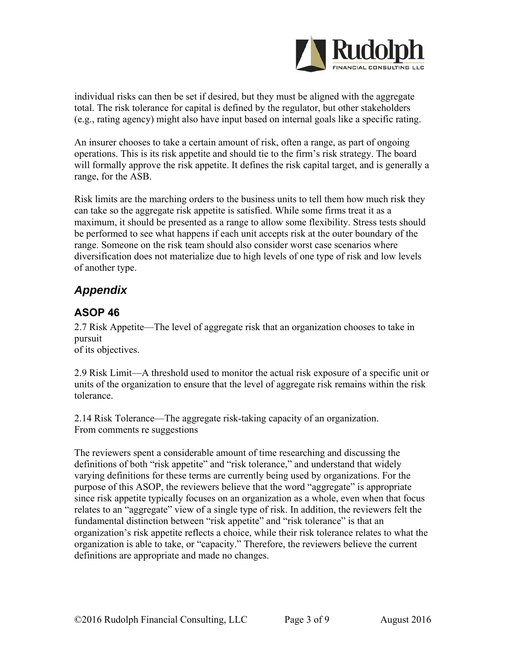

individual risks can then be set if desired, but they must be aligned with the aggregate total. The risk tolerance for capital is defined by the regulator, but other stakeholders (e.g., rating agency) might also have input based on internal goals like a specific rating.

An insurer chooses to take a certain amount of risk, often a range, as part of ongoing operations. This is its risk appetite and should tie to the firm's risk strategy. The board will formally approve the risk appetite. It defines the risk capital target, and is generally a range, for the ASB.

Risk limits are the marching orders to the business units to tell them how much risk they can take so the aggregate risk appetite is satisfied. While some firms treat it as a maximum, it should be presented as a range to allow some flexibility. Stress tests should be performed to see what happens if each unit accepts risk at the outer boundary of the range. Someone on the risk team should also consider worst case scenarios where diversification does not materialize due to high levels of one type of risk and low levels of another type.

# *Appendix*

## **ASOP 46**

2.7 Risk Appetite—The level of aggregate risk that an organization chooses to take in pursuit

of its objectives.

2.9 Risk Limit—A threshold used to monitor the actual risk exposure of a specific unit or units of the organization to ensure that the level of aggregate risk remains within the risk tolerance.

2.14 Risk Tolerance—The aggregate risk-taking capacity of an organization. From comments re suggestions

The reviewers spent a considerable amount of time researching and discussing the definitions of both "risk appetite" and "risk tolerance," and understand that widely varying definitions for these terms are currently being used by organizations. For the purpose of this ASOP, the reviewers believe that the word "aggregate" is appropriate since risk appetite typically focuses on an organization as a whole, even when that focus relates to an "aggregate" view of a single type of risk. In addition, the reviewers felt the fundamental distinction between "risk appetite" and "risk tolerance" is that an organization's risk appetite reflects a choice, while their risk tolerance relates to what the organization is able to take, or "capacity." Therefore, the reviewers believe the current definitions are appropriate and made no changes.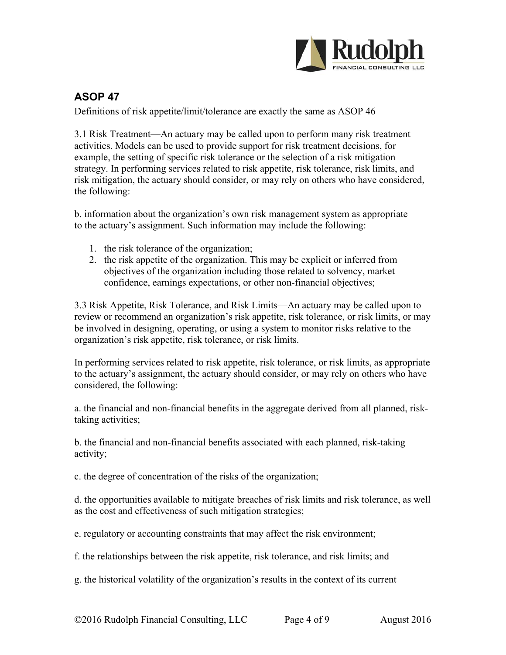

# **ASOP 47**

Definitions of risk appetite/limit/tolerance are exactly the same as ASOP 46

3.1 Risk Treatment—An actuary may be called upon to perform many risk treatment activities. Models can be used to provide support for risk treatment decisions, for example, the setting of specific risk tolerance or the selection of a risk mitigation strategy. In performing services related to risk appetite, risk tolerance, risk limits, and risk mitigation, the actuary should consider, or may rely on others who have considered, the following:

b. information about the organization's own risk management system as appropriate to the actuary's assignment. Such information may include the following:

- 1. the risk tolerance of the organization;
- 2. the risk appetite of the organization. This may be explicit or inferred from objectives of the organization including those related to solvency, market confidence, earnings expectations, or other non-financial objectives;

3.3 Risk Appetite, Risk Tolerance, and Risk Limits—An actuary may be called upon to review or recommend an organization's risk appetite, risk tolerance, or risk limits, or may be involved in designing, operating, or using a system to monitor risks relative to the organization's risk appetite, risk tolerance, or risk limits.

In performing services related to risk appetite, risk tolerance, or risk limits, as appropriate to the actuary's assignment, the actuary should consider, or may rely on others who have considered, the following:

a. the financial and non-financial benefits in the aggregate derived from all planned, risktaking activities;

b. the financial and non-financial benefits associated with each planned, risk-taking activity;

c. the degree of concentration of the risks of the organization;

d. the opportunities available to mitigate breaches of risk limits and risk tolerance, as well as the cost and effectiveness of such mitigation strategies;

e. regulatory or accounting constraints that may affect the risk environment;

f. the relationships between the risk appetite, risk tolerance, and risk limits; and

g. the historical volatility of the organization's results in the context of its current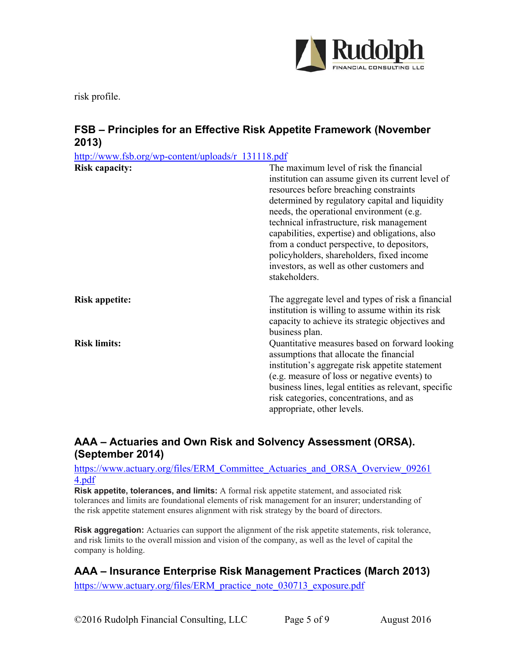

risk profile.

### **FSB – Principles for an Effective Risk Appetite Framework (November 2013)**

| http://www.fsb.org/wp-content/uploads/r 131118.pdf |                                                                                                                                                                                                                                                                                                                                                                                                                                                                                              |
|----------------------------------------------------|----------------------------------------------------------------------------------------------------------------------------------------------------------------------------------------------------------------------------------------------------------------------------------------------------------------------------------------------------------------------------------------------------------------------------------------------------------------------------------------------|
| <b>Risk capacity:</b>                              | The maximum level of risk the financial<br>institution can assume given its current level of<br>resources before breaching constraints<br>determined by regulatory capital and liquidity<br>needs, the operational environment (e.g.<br>technical infrastructure, risk management<br>capabilities, expertise) and obligations, also<br>from a conduct perspective, to depositors,<br>policyholders, shareholders, fixed income<br>investors, as well as other customers and<br>stakeholders. |
| <b>Risk appetite:</b>                              | The aggregate level and types of risk a financial<br>institution is willing to assume within its risk<br>capacity to achieve its strategic objectives and<br>business plan.                                                                                                                                                                                                                                                                                                                  |
| <b>Risk limits:</b>                                | Quantitative measures based on forward looking<br>assumptions that allocate the financial<br>institution's aggregate risk appetite statement<br>(e.g. measure of loss or negative events) to<br>business lines, legal entities as relevant, specific<br>risk categories, concentrations, and as<br>appropriate, other levels.                                                                                                                                                                |

### **AAA – Actuaries and Own Risk and Solvency Assessment (ORSA). (September 2014)**

#### https://www.actuary.org/files/ERM\_Committee\_Actuaries\_and\_ORSA\_Overview\_09261 4.pdf

**Risk appetite, tolerances, and limits:** A formal risk appetite statement, and associated risk tolerances and limits are foundational elements of risk management for an insurer; understanding of the risk appetite statement ensures alignment with risk strategy by the board of directors.

**Risk aggregation:** Actuaries can support the alignment of the risk appetite statements, risk tolerance, and risk limits to the overall mission and vision of the company, as well as the level of capital the company is holding.

### **AAA – Insurance Enterprise Risk Management Practices (March 2013)**

https://www.actuary.org/files/ERM\_practice\_note\_030713\_exposure.pdf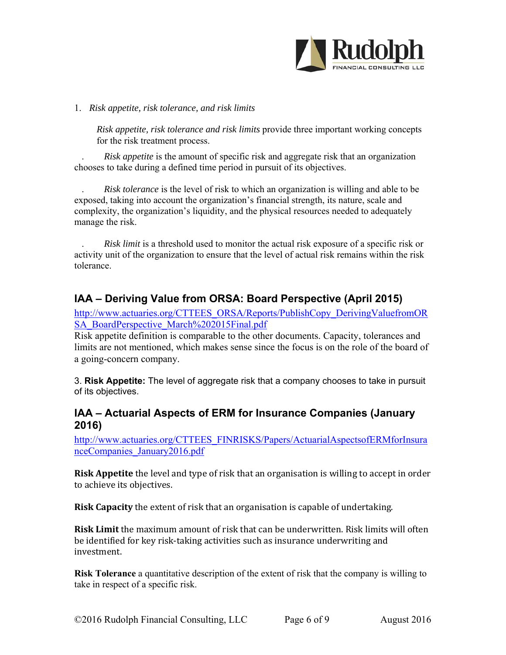

#### 1. *Risk appetite, risk tolerance, and risk limits*

*Risk appetite, risk tolerance and risk limits* provide three important working concepts for the risk treatment process.

. *Risk appetite* is the amount of specific risk and aggregate risk that an organization chooses to take during a defined time period in pursuit of its objectives.

. *Risk tolerance* is the level of risk to which an organization is willing and able to be exposed, taking into account the organization's financial strength, its nature, scale and complexity, the organization's liquidity, and the physical resources needed to adequately manage the risk.

. *Risk limit* is a threshold used to monitor the actual risk exposure of a specific risk or activity unit of the organization to ensure that the level of actual risk remains within the risk tolerance.

### **IAA – Deriving Value from ORSA: Board Perspective (April 2015)**

http://www.actuaries.org/CTTEES\_ORSA/Reports/PublishCopy\_DerivingValuefromOR SA\_BoardPerspective\_March%202015Final.pdf

Risk appetite definition is comparable to the other documents. Capacity, tolerances and limits are not mentioned, which makes sense since the focus is on the role of the board of a going-concern company.

3. **Risk Appetite:** The level of aggregate risk that a company chooses to take in pursuit of its objectives.

#### **IAA – Actuarial Aspects of ERM for Insurance Companies (January 2016)**

http://www.actuaries.org/CTTEES\_FINRISKS/Papers/ActuarialAspectsofERMforInsura nceCompanies\_January2016.pdf

**Risk Appetite** the level and type of risk that an organisation is willing to accept in order to achieve its objectives.

**Risk Capacity** the extent of risk that an organisation is capable of undertaking.

**Risk Limit** the maximum amount of risk that can be underwritten. Risk limits will often be identified for key risk-taking activities such as insurance underwriting and investment. 

**Risk Tolerance** a quantitative description of the extent of risk that the company is willing to take in respect of a specific risk.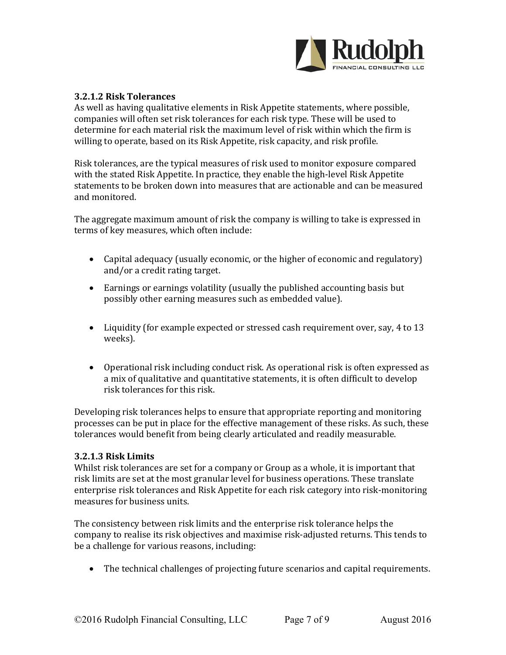

#### **3.2.1.2 Risk Tolerances**

As well as having qualitative elements in Risk Appetite statements, where possible, companies will often set risk tolerances for each risk type. These will be used to determine for each material risk the maximum level of risk within which the firm is willing to operate, based on its Risk Appetite, risk capacity, and risk profile.

Risk tolerances, are the typical measures of risk used to monitor exposure compared with the stated Risk Appetite. In practice, they enable the high-level Risk Appetite statements to be broken down into measures that are actionable and can be measured and monitored

The aggregate maximum amount of risk the company is willing to take is expressed in terms of key measures, which often include:

- Capital adequacy (usually economic, or the higher of economic and regulatory) and/or a credit rating target.
- Earnings or earnings volatility (usually the published accounting basis but possibly other earning measures such as embedded value).
- Liquidity (for example expected or stressed cash requirement over, say, 4 to 13 weeks).
- Operational risk including conduct risk. As operational risk is often expressed as a mix of qualitative and quantitative statements, it is often difficult to develop risk tolerances for this risk.

Developing risk tolerances helps to ensure that appropriate reporting and monitoring processes can be put in place for the effective management of these risks. As such, these tolerances would benefit from being clearly articulated and readily measurable.

#### **3.2.1.3 Risk Limits**

Whilst risk tolerances are set for a company or Group as a whole, it is important that risk limits are set at the most granular level for business operations. These translate enterprise risk tolerances and Risk Appetite for each risk category into risk-monitoring measures for business units.

The consistency between risk limits and the enterprise risk tolerance helps the company to realise its risk objectives and maximise risk-adjusted returns. This tends to be a challenge for various reasons, including:

• The technical challenges of projecting future scenarios and capital requirements.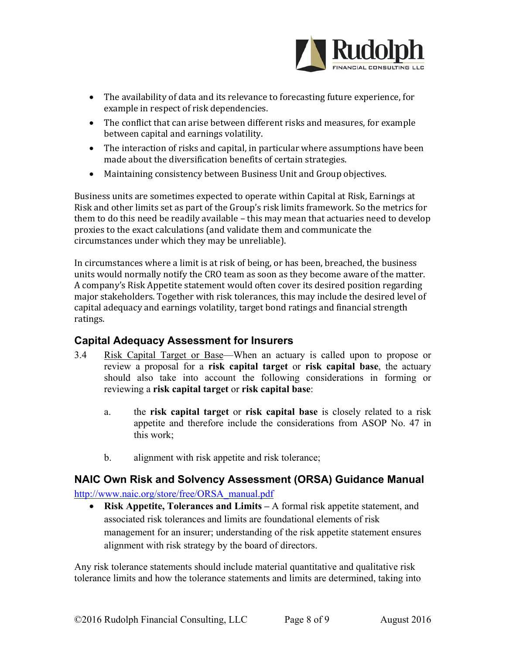

- The availability of data and its relevance to forecasting future experience, for example in respect of risk dependencies.
- The conflict that can arise between different risks and measures, for example between capital and earnings volatility.
- The interaction of risks and capital, in particular where assumptions have been made about the diversification benefits of certain strategies.
- Maintaining consistency between Business Unit and Group objectives.

Business units are sometimes expected to operate within Capital at Risk, Earnings at Risk and other limits set as part of the Group's risk limits framework. So the metrics for them to do this need be readily available – this may mean that actuaries need to develop proxies to the exact calculations (and validate them and communicate the circumstances under which they may be unreliable).

In circumstances where a limit is at risk of being, or has been, breached, the business units would normally notify the CRO team as soon as they become aware of the matter. A company's Risk Appetite statement would often cover its desired position regarding major stakeholders. Together with risk tolerances, this may include the desired level of capital adequacy and earnings volatility, target bond ratings and financial strength ratings. 

### **Capital Adequacy Assessment for Insurers**

- 3.4 Risk Capital Target or Base—When an actuary is called upon to propose or review a proposal for a **risk capital target** or **risk capital base**, the actuary should also take into account the following considerations in forming or reviewing a **risk capital target** or **risk capital base**:
	- a. the **risk capital target** or **risk capital base** is closely related to a risk appetite and therefore include the considerations from ASOP No. 47 in this work;
	- b. alignment with risk appetite and risk tolerance;

### **NAIC Own Risk and Solvency Assessment (ORSA) Guidance Manual**  http://www.naic.org/store/free/ORSA\_manual.pdf

 **Risk Appetite, Tolerances and Limits –** A formal risk appetite statement, and associated risk tolerances and limits are foundational elements of risk management for an insurer; understanding of the risk appetite statement ensures alignment with risk strategy by the board of directors.

Any risk tolerance statements should include material quantitative and qualitative risk tolerance limits and how the tolerance statements and limits are determined, taking into